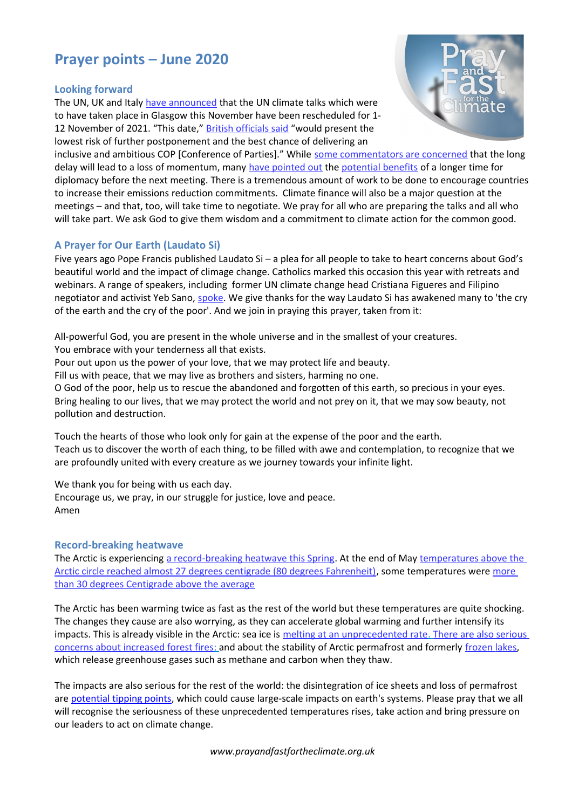# **Prayer points – June 2020**

#### **Looking forward**

The UN, UK and Italy [have announced](https://bit.ly/2yGVIca) that the UN climate talks which were to have taken place in Glasgow this November have been rescheduled for 1- 12 November of 2021. "This date," [British officials said](https://nyti.ms/2ZPjNbW) "would present the lowest risk of further postponement and the best chance of delivering an



inclusive and ambitious COP [Conference of Parties]." While [some commentators are concerned](https://nyti.ms/2ZPjNbW) that the long delay will lead to a loss of momentum, many [have pointed out](https://bbc.in/2ZUDKOR) the [potential benefits](https://bit.ly/2zIJCzJ) of a longer time for diplomacy before the next meeting. There is a tremendous amount of work to be done to encourage countries to increase their emissions reduction commitments. Climate finance will also be a major question at the meetings – and that, too, will take time to negotiate. We pray for all who are preparing the talks and all who will take part. We ask God to give them wisdom and a commitment to climate action for the common good.

# **A Prayer for Our Earth (Laudato Si)**

Five years ago Pope Francis published Laudato Si – a plea for all people to take to heart concerns about God's beautiful world and the impact of climage change. Catholics marked this occasion this year with retreats and webinars. A range of speakers, including former UN climate change head Cristiana Figueres and Filipino negotiator and activist Yeb Sano, [spoke.](https://bit.ly/2LKIm1o) We give thanks for the way Laudato Si has awakened many to 'the cry of the earth and the cry of the poor'. And we join in praying this prayer, taken from it:

All-powerful God, you are present in the whole universe and in the smallest of your creatures. You embrace with your tenderness all that exists.

Pour out upon us the power of your love, that we may protect life and beauty.

Fill us with peace, that we may live as brothers and sisters, harming no one.

O God of the poor, help us to rescue the abandoned and forgotten of this earth, so precious in your eyes. Bring healing to our lives, that we may protect the world and not prey on it, that we may sow beauty, not pollution and destruction.

Touch the hearts of those who look only for gain at the expense of the poor and the earth. Teach us to discover the worth of each thing, to be filled with awe and contemplation, to recognize that we are profoundly united with every creature as we journey towards your infinite light.

We thank you for being with us each day. Encourage us, we pray, in our struggle for justice, love and peace. Amen

# **Record-breaking [heatwave](http://www.earth.com/news/marine-heatwave-pushed-species-northward/)**

The Arctic is experiencing [a record-breaking heatwave this Spring.](https://bit.ly/3dgCjhc) At the end of May temperatures above the [Arctic circle reached almost 27 degrees centigrade \(80 degrees Fahrenheit\),](https://bit.ly/36KiigS) some temperatures were more [than 30 degrees Centigrade above the average](https://bit.ly/2TQtrHB)

The Arctic has been warming twice as fast as the rest of the world but these temperatures are quite shocking. The changes they cause are also worrying, as they can accelerate global warming and further intensify its impacts. This is already visible in the Arctic: sea ice is melting at an unprecedented rate. There are also serious concerns about [increased forest fires;](https://bloom.bg/2XFlC8O) and about the stability of Arctic permafrost and formerly frozen lakes, which release greenhouse gases such as methane and carbon when they thaw.

The impacts are also serious for the rest of the world: the disintegration of ice sheets and loss of permafrost are [potential tipping points,](https://www.carbonbrief.org/explainer-nine-tipping-points-that-could-be-triggered-by-climate-change) which could cause large-scale impacts on earth's systems. Please pray that we all will recognise the seriousness of these unprecedented temperatures rises, take action and bring pressure on our leaders to act on climate change.